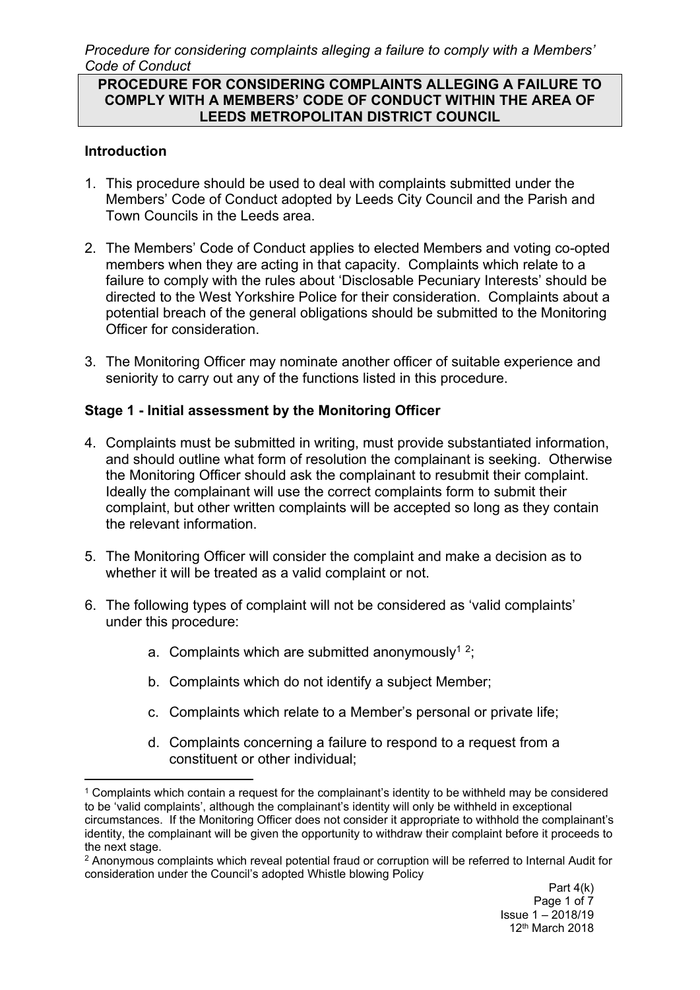#### **PROCEDURE FOR CONSIDERING COMPLAINTS ALLEGING A FAILURE TO COMPLY WITH A MEMBERS' CODE OF CONDUCT WITHIN THE AREA OF LEEDS METROPOLITAN DISTRICT COUNCIL**

### **Introduction**

- 1. This procedure should be used to deal with complaints submitted under the Members' Code of Conduct adopted by Leeds City Council and the Parish and Town Councils in the Leeds area.
- 2. The Members' Code of Conduct applies to elected Members and voting co-opted members when they are acting in that capacity. Complaints which relate to a failure to comply with the rules about 'Disclosable Pecuniary Interests' should be directed to the West Yorkshire Police for their consideration. Complaints about a potential breach of the general obligations should be submitted to the Monitoring Officer for consideration.
- 3. The Monitoring Officer may nominate another officer of suitable experience and seniority to carry out any of the functions listed in this procedure.

#### **Stage 1 - Initial assessment by the Monitoring Officer**

- 4. Complaints must be submitted in writing, must provide substantiated information, and should outline what form of resolution the complainant is seeking. Otherwise the Monitoring Officer should ask the complainant to resubmit their complaint. Ideally the complainant will use the correct complaints form to submit their complaint, but other written complaints will be accepted so long as they contain the relevant information.
- 5. The Monitoring Officer will consider the complaint and make a decision as to whether it will be treated as a valid complaint or not.
- 6. The following types of complaint will not be considered as 'valid complaints' under this procedure:
	- a. Complaints which are submitted anonymously<sup>12</sup>;
	- b. Complaints which do not identify a subject Member;
	- c. Complaints which relate to a Member's personal or private life;
	- d. Complaints concerning a failure to respond to a request from a constituent or other individual;

<sup>1</sup> Complaints which contain a request for the complainant's identity to be withheld may be considered to be 'valid complaints', although the complainant's identity will only be withheld in exceptional circumstances. If the Monitoring Officer does not consider it appropriate to withhold the complainant's identity, the complainant will be given the opportunity to withdraw their complaint before it proceeds to the next stage.

<sup>2</sup> Anonymous complaints which reveal potential fraud or corruption will be referred to Internal Audit for consideration under the Council's adopted Whistle blowing Policy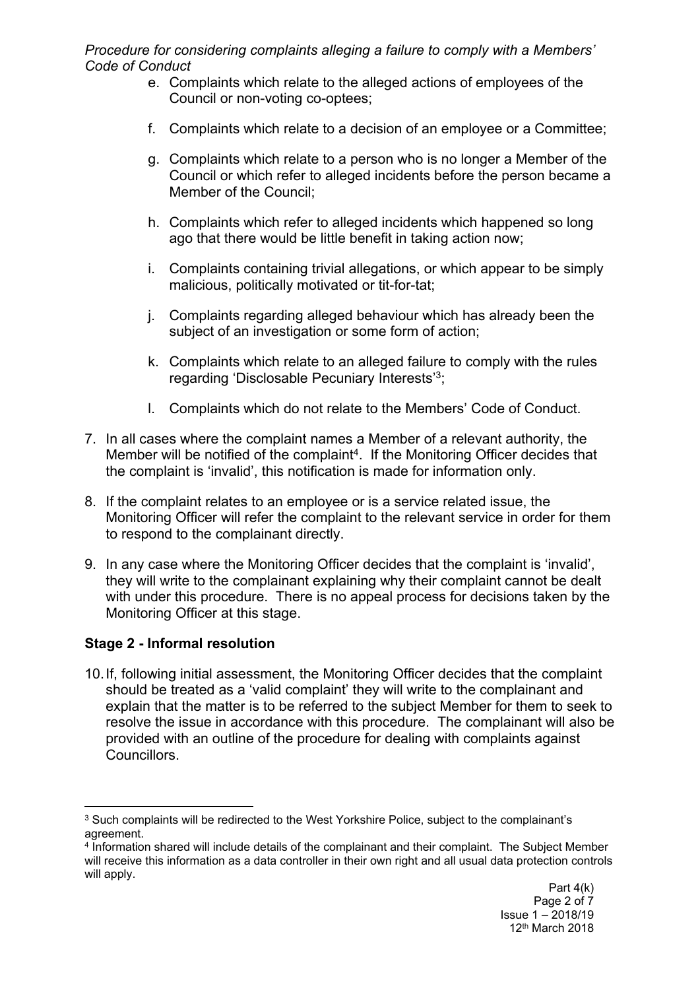- e. Complaints which relate to the alleged actions of employees of the Council or non-voting co-optees;
- f. Complaints which relate to a decision of an employee or a Committee;
- g. Complaints which relate to a person who is no longer a Member of the Council or which refer to alleged incidents before the person became a Member of the Council;
- h. Complaints which refer to alleged incidents which happened so long ago that there would be little benefit in taking action now;
- i. Complaints containing trivial allegations, or which appear to be simply malicious, politically motivated or tit-for-tat;
- j. Complaints regarding alleged behaviour which has already been the subject of an investigation or some form of action;
- k. Complaints which relate to an alleged failure to comply with the rules regarding 'Disclosable Pecuniary Interests'<sup>3</sup>;
- l. Complaints which do not relate to the Members' Code of Conduct.
- 7. In all cases where the complaint names a Member of a relevant authority, the Member will be notified of the complaint<sup>4</sup>. If the Monitoring Officer decides that the complaint is 'invalid', this notification is made for information only.
- 8. If the complaint relates to an employee or is a service related issue, the Monitoring Officer will refer the complaint to the relevant service in order for them to respond to the complainant directly.
- 9. In any case where the Monitoring Officer decides that the complaint is 'invalid', they will write to the complainant explaining why their complaint cannot be dealt with under this procedure. There is no appeal process for decisions taken by the Monitoring Officer at this stage.

## **Stage 2 - Informal resolution**

10.If, following initial assessment, the Monitoring Officer decides that the complaint should be treated as a 'valid complaint' they will write to the complainant and explain that the matter is to be referred to the subject Member for them to seek to resolve the issue in accordance with this procedure. The complainant will also be provided with an outline of the procedure for dealing with complaints against **Councillors** 

<sup>&</sup>lt;sup>3</sup> Such complaints will be redirected to the West Yorkshire Police, subject to the complainant's agreement.

<sup>4</sup> Information shared will include details of the complainant and their complaint. The Subject Member will receive this information as a data controller in their own right and all usual data protection controls will apply.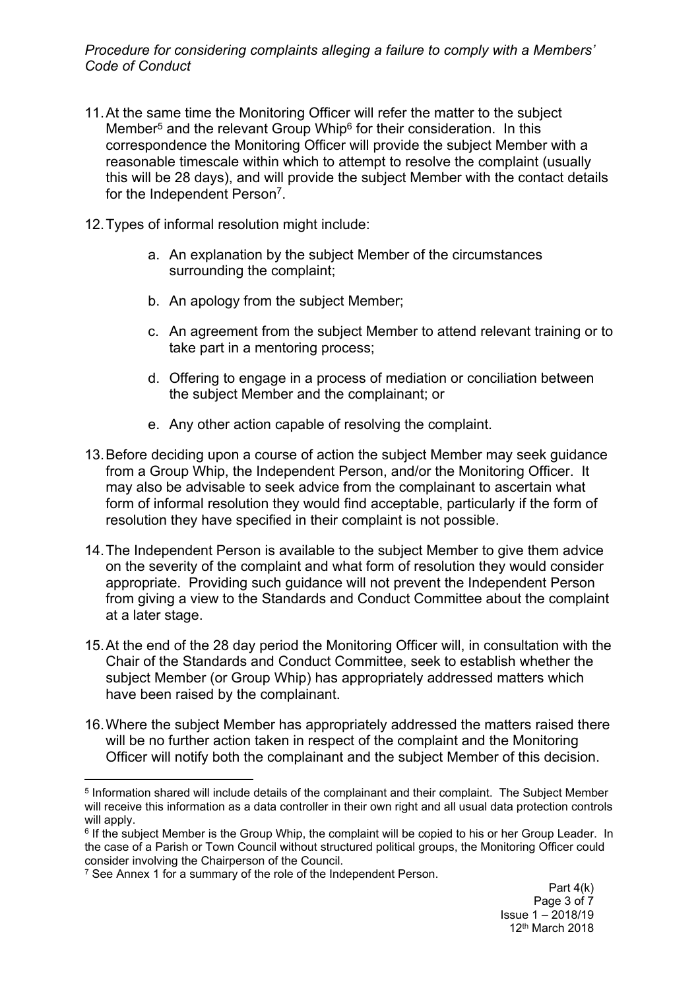- 11.At the same time the Monitoring Officer will refer the matter to the subject Member<sup>5</sup> and the relevant Group Whip<sup>6</sup> for their consideration. In this correspondence the Monitoring Officer will provide the subject Member with a reasonable timescale within which to attempt to resolve the complaint (usually this will be 28 days), and will provide the subject Member with the contact details for the Independent Person<sup>7</sup>.
- 12.Types of informal resolution might include:
	- a. An explanation by the subject Member of the circumstances surrounding the complaint;
	- b. An apology from the subject Member;
	- c. An agreement from the subject Member to attend relevant training or to take part in a mentoring process;
	- d. Offering to engage in a process of mediation or conciliation between the subject Member and the complainant; or
	- e. Any other action capable of resolving the complaint.
- 13.Before deciding upon a course of action the subject Member may seek guidance from a Group Whip, the Independent Person, and/or the Monitoring Officer. It may also be advisable to seek advice from the complainant to ascertain what form of informal resolution they would find acceptable, particularly if the form of resolution they have specified in their complaint is not possible.
- 14.The Independent Person is available to the subject Member to give them advice on the severity of the complaint and what form of resolution they would consider appropriate. Providing such guidance will not prevent the Independent Person from giving a view to the Standards and Conduct Committee about the complaint at a later stage.
- 15.At the end of the 28 day period the Monitoring Officer will, in consultation with the Chair of the Standards and Conduct Committee, seek to establish whether the subject Member (or Group Whip) has appropriately addressed matters which have been raised by the complainant.
- 16.Where the subject Member has appropriately addressed the matters raised there will be no further action taken in respect of the complaint and the Monitoring Officer will notify both the complainant and the subject Member of this decision.

<sup>5</sup> Information shared will include details of the complainant and their complaint. The Subject Member will receive this information as a data controller in their own right and all usual data protection controls will apply.

<sup>&</sup>lt;sup>6</sup> If the subject Member is the Group Whip, the complaint will be copied to his or her Group Leader. In the case of a Parish or Town Council without structured political groups, the Monitoring Officer could consider involving the Chairperson of the Council.

<sup>&</sup>lt;sup>7</sup> See Annex 1 for a summary of the role of the Independent Person.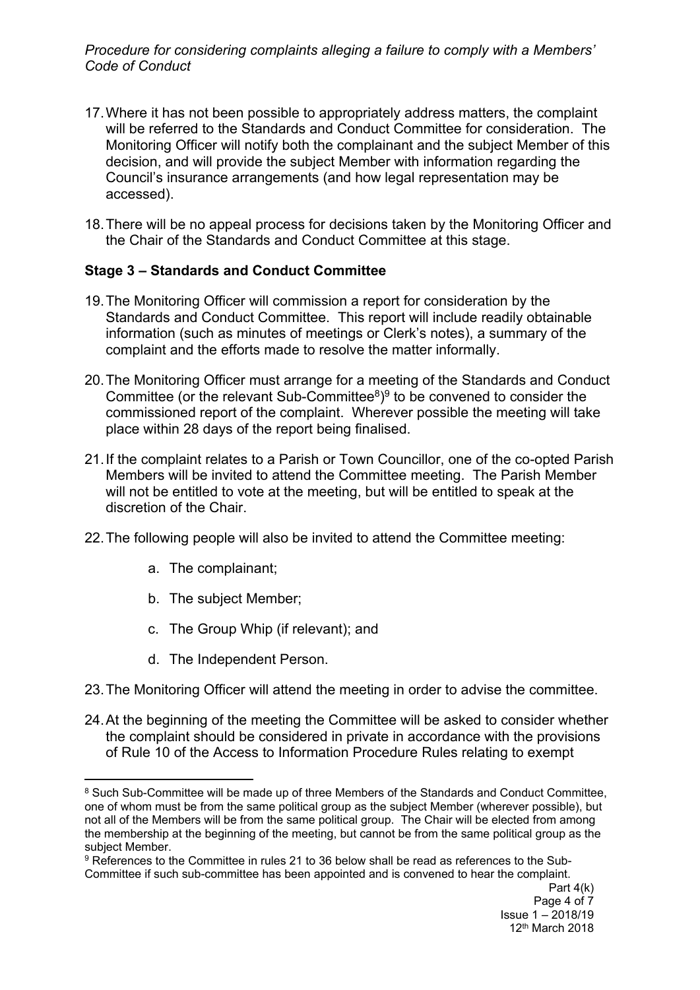- 17.Where it has not been possible to appropriately address matters, the complaint will be referred to the Standards and Conduct Committee for consideration. The Monitoring Officer will notify both the complainant and the subject Member of this decision, and will provide the subject Member with information regarding the Council's insurance arrangements (and how legal representation may be accessed).
- 18.There will be no appeal process for decisions taken by the Monitoring Officer and the Chair of the Standards and Conduct Committee at this stage.

## **Stage 3 – Standards and Conduct Committee**

- 19.The Monitoring Officer will commission a report for consideration by the Standards and Conduct Committee. This report will include readily obtainable information (such as minutes of meetings or Clerk's notes), a summary of the complaint and the efforts made to resolve the matter informally.
- 20.The Monitoring Officer must arrange for a meeting of the Standards and Conduct Committee (or the relevant Sub-Committee $8$ )<sup>9</sup> to be convened to consider the commissioned report of the complaint. Wherever possible the meeting will take place within 28 days of the report being finalised.
- 21.If the complaint relates to a Parish or Town Councillor, one of the co-opted Parish Members will be invited to attend the Committee meeting. The Parish Member will not be entitled to vote at the meeting, but will be entitled to speak at the discretion of the Chair.
- 22.The following people will also be invited to attend the Committee meeting:
	- a. The complainant;
	- b. The subject Member;
	- c. The Group Whip (if relevant); and
	- d. The Independent Person.
- 23.The Monitoring Officer will attend the meeting in order to advise the committee.
- 24.At the beginning of the meeting the Committee will be asked to consider whether the complaint should be considered in private in accordance with the provisions of Rule 10 of the Access to Information Procedure Rules relating to exempt

<sup>8</sup> Such Sub-Committee will be made up of three Members of the Standards and Conduct Committee, one of whom must be from the same political group as the subject Member (wherever possible), but not all of the Members will be from the same political group. The Chair will be elected from among the membership at the beginning of the meeting, but cannot be from the same political group as the subject Member.

<sup>9</sup> References to the Committee in rules 21 to 36 below shall be read as references to the Sub-Committee if such sub-committee has been appointed and is convened to hear the complaint.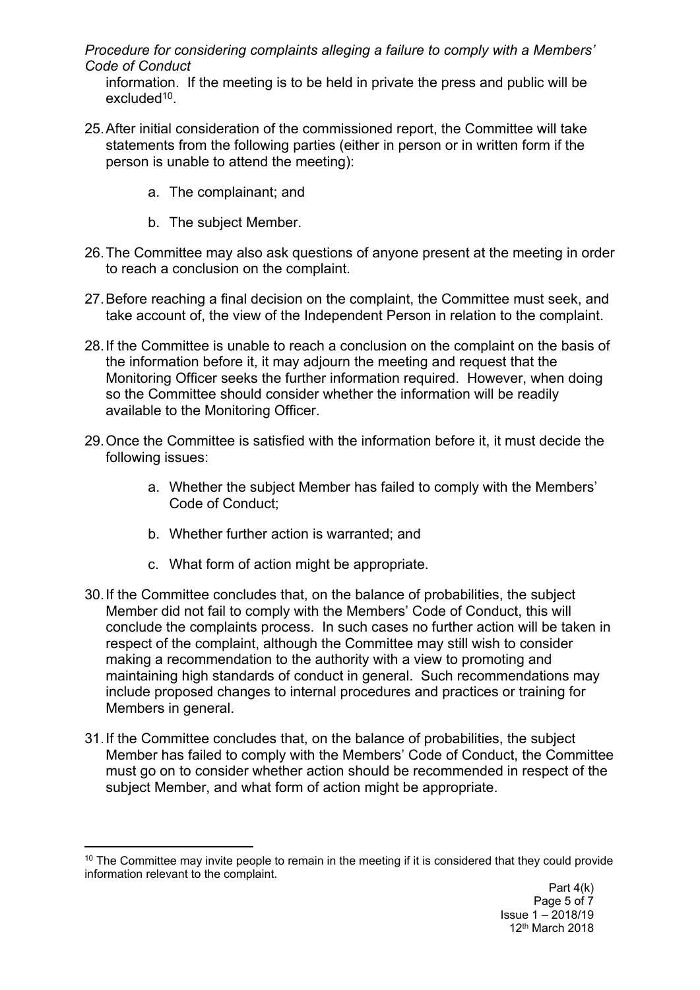information. If the meeting is to be held in private the press and public will be excluded<sup>10</sup>.

- 25.After initial consideration of the commissioned report, the Committee will take statements from the following parties (either in person or in written form if the person is unable to attend the meeting):
	- a. The complainant; and
	- b. The subject Member.
- 26.The Committee may also ask questions of anyone present at the meeting in order to reach a conclusion on the complaint.
- 27.Before reaching a final decision on the complaint, the Committee must seek, and take account of, the view of the Independent Person in relation to the complaint.
- 28.If the Committee is unable to reach a conclusion on the complaint on the basis of the information before it, it may adjourn the meeting and request that the Monitoring Officer seeks the further information required. However, when doing so the Committee should consider whether the information will be readily available to the Monitoring Officer.
- 29.Once the Committee is satisfied with the information before it, it must decide the following issues:
	- a. Whether the subject Member has failed to comply with the Members' Code of Conduct;
	- b. Whether further action is warranted; and
	- c. What form of action might be appropriate.
- 30.If the Committee concludes that, on the balance of probabilities, the subject Member did not fail to comply with the Members' Code of Conduct, this will conclude the complaints process. In such cases no further action will be taken in respect of the complaint, although the Committee may still wish to consider making a recommendation to the authority with a view to promoting and maintaining high standards of conduct in general. Such recommendations may include proposed changes to internal procedures and practices or training for Members in general.
- 31.If the Committee concludes that, on the balance of probabilities, the subject Member has failed to comply with the Members' Code of Conduct, the Committee must go on to consider whether action should be recommended in respect of the subject Member, and what form of action might be appropriate.

<sup>&</sup>lt;sup>10</sup> The Committee may invite people to remain in the meeting if it is considered that they could provide information relevant to the complaint.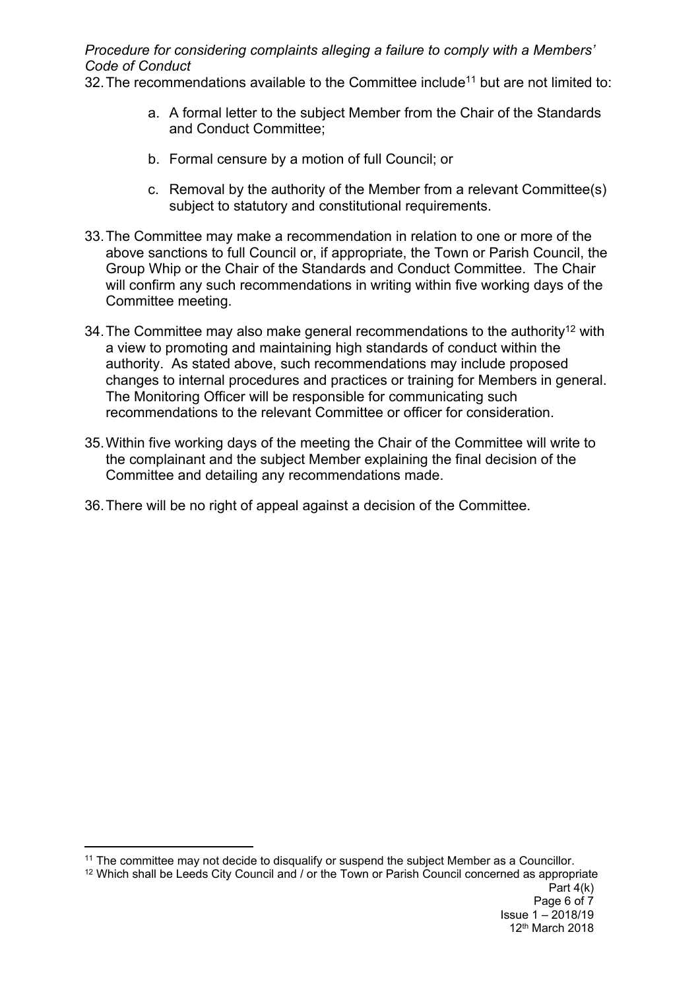32. The recommendations available to the Committee include<sup>11</sup> but are not limited to:

- a. A formal letter to the subject Member from the Chair of the Standards and Conduct Committee;
- b. Formal censure by a motion of full Council; or
- c. Removal by the authority of the Member from a relevant Committee(s) subject to statutory and constitutional requirements.
- 33.The Committee may make a recommendation in relation to one or more of the above sanctions to full Council or, if appropriate, the Town or Parish Council, the Group Whip or the Chair of the Standards and Conduct Committee. The Chair will confirm any such recommendations in writing within five working days of the Committee meeting.
- 34. The Committee may also make general recommendations to the authority<sup>12</sup> with a view to promoting and maintaining high standards of conduct within the authority. As stated above, such recommendations may include proposed changes to internal procedures and practices or training for Members in general. The Monitoring Officer will be responsible for communicating such recommendations to the relevant Committee or officer for consideration.
- 35.Within five working days of the meeting the Chair of the Committee will write to the complainant and the subject Member explaining the final decision of the Committee and detailing any recommendations made.
- 36.There will be no right of appeal against a decision of the Committee.

<sup>11</sup> The committee may not decide to disqualify or suspend the subject Member as a Councillor.

Part 4(k) Page 6 of 7 Issue 1 – 2018/19 12th March 2018 <sup>12</sup> Which shall be Leeds City Council and / or the Town or Parish Council concerned as appropriate